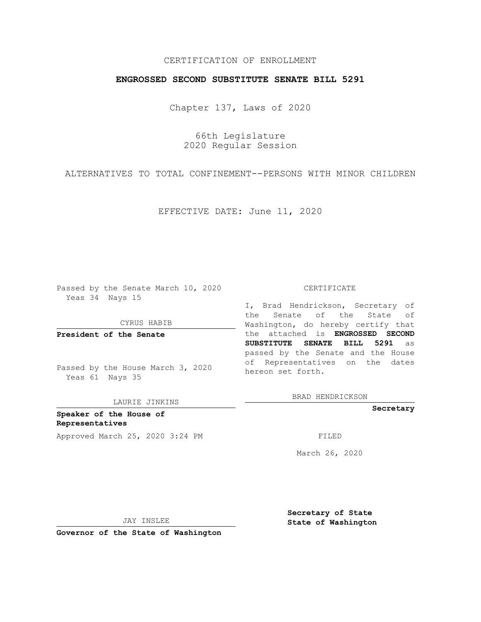## CERTIFICATION OF ENROLLMENT

### **ENGROSSED SECOND SUBSTITUTE SENATE BILL 5291**

Chapter 137, Laws of 2020

66th Legislature 2020 Regular Session

ALTERNATIVES TO TOTAL CONFINEMENT--PERSONS WITH MINOR CHILDREN

EFFECTIVE DATE: June 11, 2020

Passed by the Senate March 10, 2020 Yeas 34 Nays 15

CYRUS HABIB

**President of the Senate**

Passed by the House March 3, 2020 Yeas 61 Nays 35

LAURIE JINKINS

**Speaker of the House of Representatives** Approved March 25, 2020 3:24 PM

#### CERTIFICATE

I, Brad Hendrickson, Secretary of the Senate of the State of Washington, do hereby certify that the attached is **ENGROSSED SECOND SUBSTITUTE SENATE BILL 5291** as passed by the Senate and the House of Representatives on the dates hereon set forth.

BRAD HENDRICKSON

**Secretary**

March 26, 2020

JAY INSLEE

**Secretary of State State of Washington**

**Governor of the State of Washington**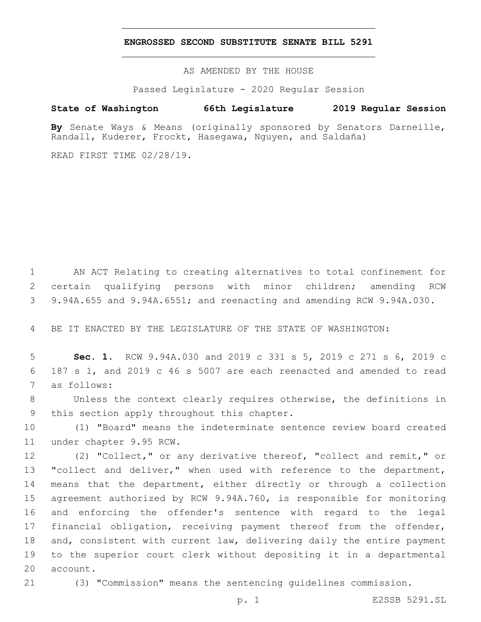#### **ENGROSSED SECOND SUBSTITUTE SENATE BILL 5291**

AS AMENDED BY THE HOUSE

Passed Legislature - 2020 Regular Session

# **State of Washington 66th Legislature 2019 Regular Session**

**By** Senate Ways & Means (originally sponsored by Senators Darneille, Randall, Kuderer, Frockt, Hasegawa, Nguyen, and Saldaña)

READ FIRST TIME 02/28/19.

1 AN ACT Relating to creating alternatives to total confinement for 2 certain qualifying persons with minor children; amending RCW 3 9.94A.655 and 9.94A.6551; and reenacting and amending RCW 9.94A.030.

4 BE IT ENACTED BY THE LEGISLATURE OF THE STATE OF WASHINGTON:

5 **Sec. 1.** RCW 9.94A.030 and 2019 c 331 s 5, 2019 c 271 s 6, 2019 c 6 187 s 1, and 2019 c 46 s 5007 are each reenacted and amended to read 7 as follows:

8 Unless the context clearly requires otherwise, the definitions in 9 this section apply throughout this chapter.

10 (1) "Board" means the indeterminate sentence review board created 11 under chapter 9.95 RCW.

 (2) "Collect," or any derivative thereof, "collect and remit," or 13 "collect and deliver," when used with reference to the department, means that the department, either directly or through a collection agreement authorized by RCW 9.94A.760, is responsible for monitoring and enforcing the offender's sentence with regard to the legal financial obligation, receiving payment thereof from the offender, and, consistent with current law, delivering daily the entire payment to the superior court clerk without depositing it in a departmental 20 account.

21 (3) "Commission" means the sentencing guidelines commission.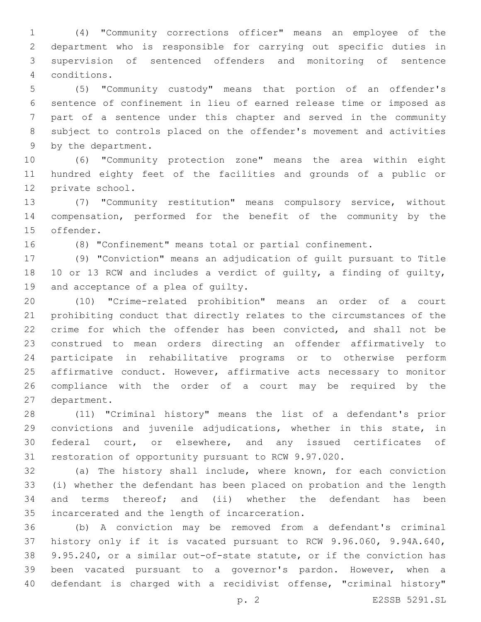(4) "Community corrections officer" means an employee of the department who is responsible for carrying out specific duties in supervision of sentenced offenders and monitoring of sentence conditions.4

 (5) "Community custody" means that portion of an offender's sentence of confinement in lieu of earned release time or imposed as part of a sentence under this chapter and served in the community subject to controls placed on the offender's movement and activities 9 by the department.

 (6) "Community protection zone" means the area within eight hundred eighty feet of the facilities and grounds of a public or 12 private school.

 (7) "Community restitution" means compulsory service, without compensation, performed for the benefit of the community by the 15 offender.

(8) "Confinement" means total or partial confinement.

 (9) "Conviction" means an adjudication of guilt pursuant to Title 10 or 13 RCW and includes a verdict of guilty, a finding of guilty, 19 and acceptance of a plea of guilty.

 (10) "Crime-related prohibition" means an order of a court prohibiting conduct that directly relates to the circumstances of the crime for which the offender has been convicted, and shall not be construed to mean orders directing an offender affirmatively to participate in rehabilitative programs or to otherwise perform affirmative conduct. However, affirmative acts necessary to monitor compliance with the order of a court may be required by the 27 department.

 (11) "Criminal history" means the list of a defendant's prior convictions and juvenile adjudications, whether in this state, in federal court, or elsewhere, and any issued certificates of restoration of opportunity pursuant to RCW 9.97.020.

 (a) The history shall include, where known, for each conviction (i) whether the defendant has been placed on probation and the length and terms thereof; and (ii) whether the defendant has been 35 incarcerated and the length of incarceration.

 (b) A conviction may be removed from a defendant's criminal history only if it is vacated pursuant to RCW 9.96.060, 9.94A.640, 9.95.240, or a similar out-of-state statute, or if the conviction has been vacated pursuant to a governor's pardon. However, when a defendant is charged with a recidivist offense, "criminal history"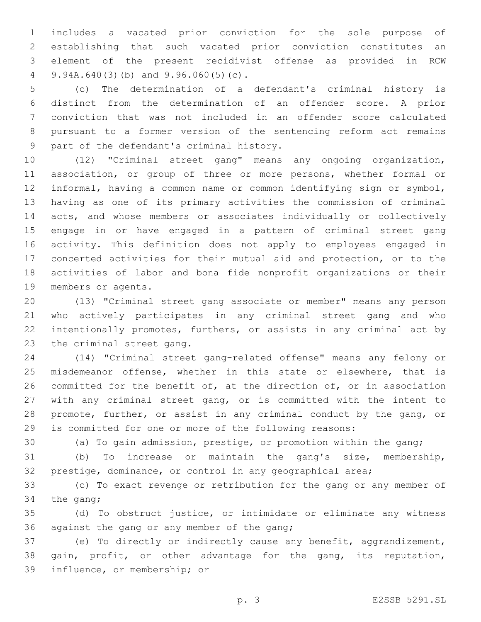includes a vacated prior conviction for the sole purpose of establishing that such vacated prior conviction constitutes an element of the present recidivist offense as provided in RCW  $9.94A.640(3)(b)$  and  $9.96.060(5)(c)$ .

 (c) The determination of a defendant's criminal history is distinct from the determination of an offender score. A prior conviction that was not included in an offender score calculated pursuant to a former version of the sentencing reform act remains 9 part of the defendant's criminal history.

 (12) "Criminal street gang" means any ongoing organization, association, or group of three or more persons, whether formal or informal, having a common name or common identifying sign or symbol, having as one of its primary activities the commission of criminal acts, and whose members or associates individually or collectively engage in or have engaged in a pattern of criminal street gang activity. This definition does not apply to employees engaged in concerted activities for their mutual aid and protection, or to the activities of labor and bona fide nonprofit organizations or their 19 members or agents.

 (13) "Criminal street gang associate or member" means any person who actively participates in any criminal street gang and who intentionally promotes, furthers, or assists in any criminal act by 23 the criminal street gang.

 (14) "Criminal street gang-related offense" means any felony or misdemeanor offense, whether in this state or elsewhere, that is committed for the benefit of, at the direction of, or in association with any criminal street gang, or is committed with the intent to promote, further, or assist in any criminal conduct by the gang, or is committed for one or more of the following reasons:

(a) To gain admission, prestige, or promotion within the gang;

 (b) To increase or maintain the gang's size, membership, prestige, dominance, or control in any geographical area;

 (c) To exact revenge or retribution for the gang or any member of 34 the gang;

 (d) To obstruct justice, or intimidate or eliminate any witness 36 against the gang or any member of the gang;

 (e) To directly or indirectly cause any benefit, aggrandizement, 38 gain, profit, or other advantage for the gang, its reputation, 39 influence, or membership; or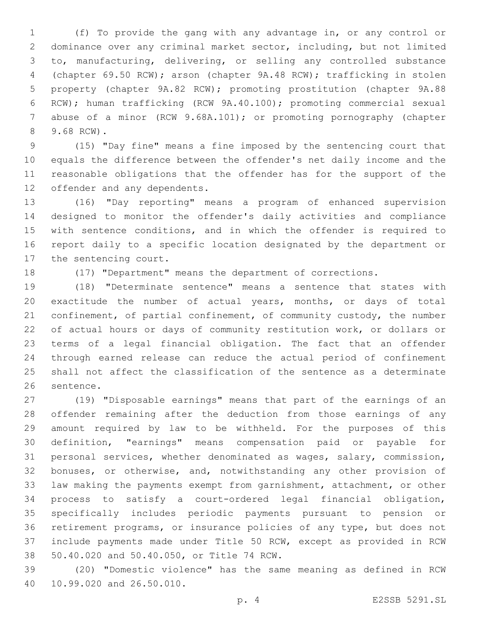(f) To provide the gang with any advantage in, or any control or dominance over any criminal market sector, including, but not limited to, manufacturing, delivering, or selling any controlled substance (chapter 69.50 RCW); arson (chapter 9A.48 RCW); trafficking in stolen property (chapter 9A.82 RCW); promoting prostitution (chapter 9A.88 RCW); human trafficking (RCW 9A.40.100); promoting commercial sexual 7 abuse of a minor (RCW 9.68A.101); or promoting pornography (chapter 9.68 RCW).8

 (15) "Day fine" means a fine imposed by the sentencing court that equals the difference between the offender's net daily income and the reasonable obligations that the offender has for the support of the 12 offender and any dependents.

 (16) "Day reporting" means a program of enhanced supervision designed to monitor the offender's daily activities and compliance with sentence conditions, and in which the offender is required to report daily to a specific location designated by the department or 17 the sentencing court.

(17) "Department" means the department of corrections.

 (18) "Determinate sentence" means a sentence that states with exactitude the number of actual years, months, or days of total 21 confinement, of partial confinement, of community custody, the number of actual hours or days of community restitution work, or dollars or terms of a legal financial obligation. The fact that an offender through earned release can reduce the actual period of confinement shall not affect the classification of the sentence as a determinate 26 sentence.

 (19) "Disposable earnings" means that part of the earnings of an offender remaining after the deduction from those earnings of any amount required by law to be withheld. For the purposes of this definition, "earnings" means compensation paid or payable for personal services, whether denominated as wages, salary, commission, bonuses, or otherwise, and, notwithstanding any other provision of law making the payments exempt from garnishment, attachment, or other process to satisfy a court-ordered legal financial obligation, specifically includes periodic payments pursuant to pension or retirement programs, or insurance policies of any type, but does not include payments made under Title 50 RCW, except as provided in RCW 38 50.40.020 and 50.40.050, or Title 74 RCW.

 (20) "Domestic violence" has the same meaning as defined in RCW 40 10.99.020 and 26.50.010.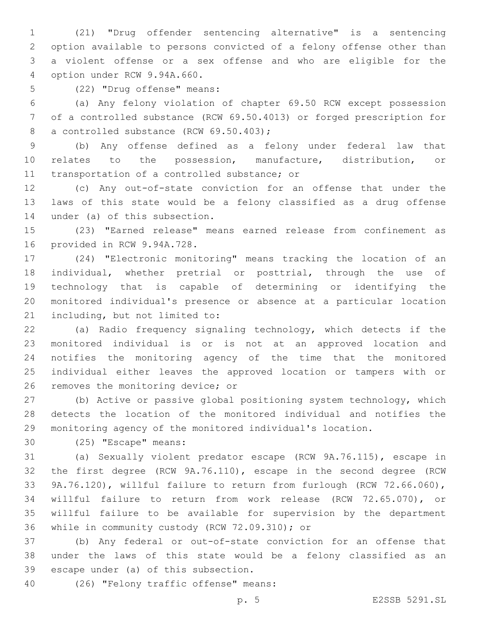(21) "Drug offender sentencing alternative" is a sentencing option available to persons convicted of a felony offense other than a violent offense or a sex offense and who are eligible for the 4 option under RCW 9.94A.660.

(22) "Drug offense" means:5

 (a) Any felony violation of chapter 69.50 RCW except possession of a controlled substance (RCW 69.50.4013) or forged prescription for 8 a controlled substance (RCW 69.50.403);

 (b) Any offense defined as a felony under federal law that relates to the possession, manufacture, distribution, or 11 transportation of a controlled substance; or

 (c) Any out-of-state conviction for an offense that under the laws of this state would be a felony classified as a drug offense 14 under (a) of this subsection.

 (23) "Earned release" means earned release from confinement as 16 provided in RCW 9.94A.728.

 (24) "Electronic monitoring" means tracking the location of an individual, whether pretrial or posttrial, through the use of technology that is capable of determining or identifying the monitored individual's presence or absence at a particular location 21 including, but not limited to:

 (a) Radio frequency signaling technology, which detects if the monitored individual is or is not at an approved location and notifies the monitoring agency of the time that the monitored individual either leaves the approved location or tampers with or 26 removes the monitoring device; or

 (b) Active or passive global positioning system technology, which detects the location of the monitored individual and notifies the monitoring agency of the monitored individual's location.

30 (25) "Escape" means:

 (a) Sexually violent predator escape (RCW 9A.76.115), escape in the first degree (RCW 9A.76.110), escape in the second degree (RCW 9A.76.120), willful failure to return from furlough (RCW 72.66.060), willful failure to return from work release (RCW 72.65.070), or willful failure to be available for supervision by the department 36 while in community custody (RCW 72.09.310); or

 (b) Any federal or out-of-state conviction for an offense that under the laws of this state would be a felony classified as an 39 escape under (a) of this subsection.

(26) "Felony traffic offense" means:40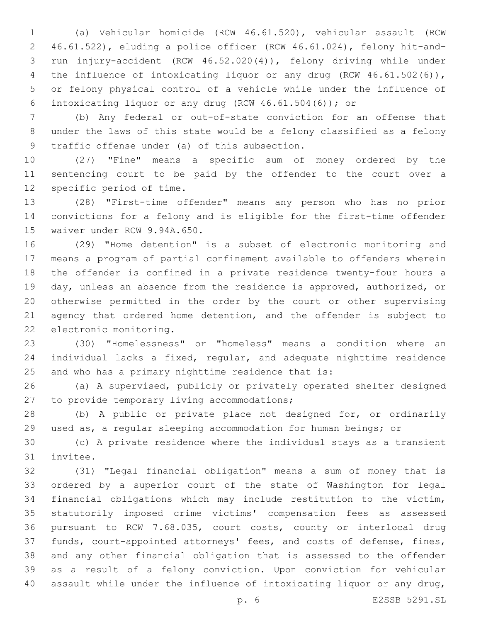(a) Vehicular homicide (RCW 46.61.520), vehicular assault (RCW 46.61.522), eluding a police officer (RCW 46.61.024), felony hit-and- run injury-accident (RCW 46.52.020(4)), felony driving while under 4 the influence of intoxicating liquor or any drug (RCW 46.61.502(6)), or felony physical control of a vehicle while under the influence of intoxicating liquor or any drug (RCW 46.61.504(6)); or

 (b) Any federal or out-of-state conviction for an offense that under the laws of this state would be a felony classified as a felony 9 traffic offense under (a) of this subsection.

 (27) "Fine" means a specific sum of money ordered by the sentencing court to be paid by the offender to the court over a 12 specific period of time.

 (28) "First-time offender" means any person who has no prior convictions for a felony and is eligible for the first-time offender 15 waiver under RCW 9.94A.650.

 (29) "Home detention" is a subset of electronic monitoring and means a program of partial confinement available to offenders wherein the offender is confined in a private residence twenty-four hours a day, unless an absence from the residence is approved, authorized, or otherwise permitted in the order by the court or other supervising agency that ordered home detention, and the offender is subject to 22 electronic monitoring.

 (30) "Homelessness" or "homeless" means a condition where an individual lacks a fixed, regular, and adequate nighttime residence and who has a primary nighttime residence that is:

 (a) A supervised, publicly or privately operated shelter designed 27 to provide temporary living accommodations;

 (b) A public or private place not designed for, or ordinarily used as, a regular sleeping accommodation for human beings; or

 (c) A private residence where the individual stays as a transient 31 invitee.

 (31) "Legal financial obligation" means a sum of money that is ordered by a superior court of the state of Washington for legal financial obligations which may include restitution to the victim, statutorily imposed crime victims' compensation fees as assessed pursuant to RCW 7.68.035, court costs, county or interlocal drug funds, court-appointed attorneys' fees, and costs of defense, fines, and any other financial obligation that is assessed to the offender as a result of a felony conviction. Upon conviction for vehicular assault while under the influence of intoxicating liquor or any drug,

p. 6 E2SSB 5291.SL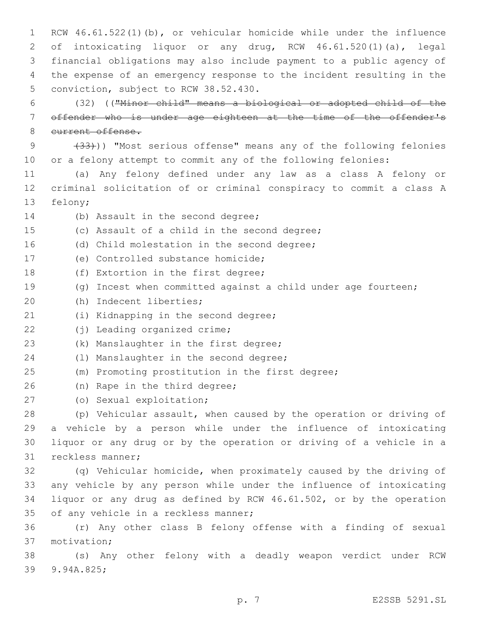RCW 46.61.522(1)(b), or vehicular homicide while under the influence of intoxicating liquor or any drug, RCW 46.61.520(1)(a), legal financial obligations may also include payment to a public agency of the expense of an emergency response to the incident resulting in the 5 conviction, subject to RCW 38.52.430.

6 (32) (("Minor child" means a biological or adopted child of the 7 offender who is under age eighteen at the time of the offender's 8 current offense.

9 (33))) "Most serious offense" means any of the following felonies 10 or a felony attempt to commit any of the following felonies:

11 (a) Any felony defined under any law as a class A felony or 12 criminal solicitation of or criminal conspiracy to commit a class A 13 felony;

14 (b) Assault in the second degree; 15 (c) Assault of a child in the second degree; 16 (d) Child molestation in the second degree; 17 (e) Controlled substance homicide; 18 (f) Extortion in the first degree; 19 (g) Incest when committed against a child under age fourteen; 20 (h) Indecent liberties; 21 (i) Kidnapping in the second degree; 22 (i) Leading organized crime; 23 (k) Manslaughter in the first degree;

24 (1) Manslaughter in the second degree;

25 (m) Promoting prostitution in the first degree;

26 (n) Rape in the third degree;

(o) Sexual exploitation;27

 (p) Vehicular assault, when caused by the operation or driving of a vehicle by a person while under the influence of intoxicating liquor or any drug or by the operation or driving of a vehicle in a 31 reckless manner;

 (q) Vehicular homicide, when proximately caused by the driving of any vehicle by any person while under the influence of intoxicating liquor or any drug as defined by RCW 46.61.502, or by the operation 35 of any vehicle in a reckless manner;

36 (r) Any other class B felony offense with a finding of sexual motivation;37

38 (s) Any other felony with a deadly weapon verdict under RCW 39 9.94A.825;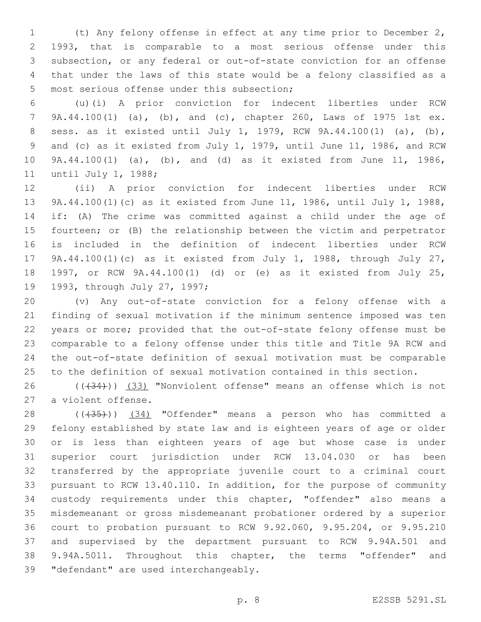(t) Any felony offense in effect at any time prior to December 2, 1993, that is comparable to a most serious offense under this subsection, or any federal or out-of-state conviction for an offense that under the laws of this state would be a felony classified as a 5 most serious offense under this subsection;

 (u)(i) A prior conviction for indecent liberties under RCW 9A.44.100(1) (a), (b), and (c), chapter 260, Laws of 1975 1st ex. sess. as it existed until July 1, 1979, RCW 9A.44.100(1) (a), (b), and (c) as it existed from July 1, 1979, until June 11, 1986, and RCW 9A.44.100(1) (a), (b), and (d) as it existed from June 11, 1986, 11 until July 1, 1988;

 (ii) A prior conviction for indecent liberties under RCW 9A.44.100(1)(c) as it existed from June 11, 1986, until July 1, 1988, if: (A) The crime was committed against a child under the age of fourteen; or (B) the relationship between the victim and perpetrator is included in the definition of indecent liberties under RCW 9A.44.100(1)(c) as it existed from July 1, 1988, through July 27, 1997, or RCW 9A.44.100(1) (d) or (e) as it existed from July 25, 19 1993, through July 27, 1997;

 (v) Any out-of-state conviction for a felony offense with a finding of sexual motivation if the minimum sentence imposed was ten years or more; provided that the out-of-state felony offense must be comparable to a felony offense under this title and Title 9A RCW and the out-of-state definition of sexual motivation must be comparable to the definition of sexual motivation contained in this section.

26 (((34))) (33) "Nonviolent offense" means an offense which is not 27 a violent offense.

28 ((+35))) (34) "Offender" means a person who has committed a felony established by state law and is eighteen years of age or older or is less than eighteen years of age but whose case is under superior court jurisdiction under RCW 13.04.030 or has been transferred by the appropriate juvenile court to a criminal court pursuant to RCW 13.40.110. In addition, for the purpose of community custody requirements under this chapter, "offender" also means a misdemeanant or gross misdemeanant probationer ordered by a superior court to probation pursuant to RCW 9.92.060, 9.95.204, or 9.95.210 and supervised by the department pursuant to RCW 9.94A.501 and 9.94A.5011. Throughout this chapter, the terms "offender" and 39 "defendant" are used interchangeably.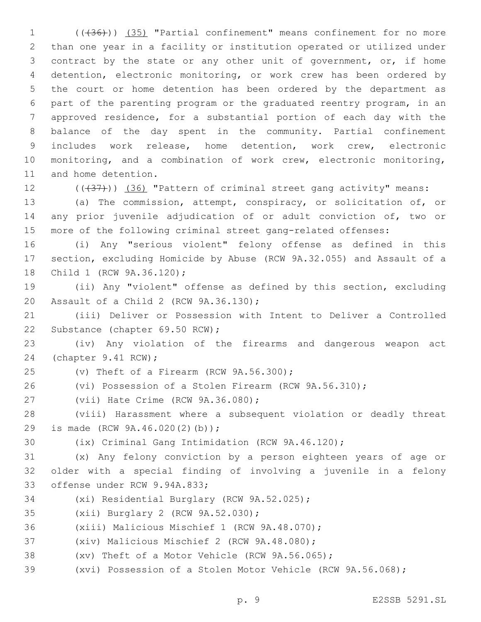(((36))) (35) "Partial confinement" means confinement for no more than one year in a facility or institution operated or utilized under contract by the state or any other unit of government, or, if home detention, electronic monitoring, or work crew has been ordered by the court or home detention has been ordered by the department as part of the parenting program or the graduated reentry program, in an approved residence, for a substantial portion of each day with the balance of the day spent in the community. Partial confinement includes work release, home detention, work crew, electronic monitoring, and a combination of work crew, electronic monitoring, 11 and home detention.

12 (((437))) (36) "Pattern of criminal street gang activity" means:

 (a) The commission, attempt, conspiracy, or solicitation of, or any prior juvenile adjudication of or adult conviction of, two or more of the following criminal street gang-related offenses:

 (i) Any "serious violent" felony offense as defined in this section, excluding Homicide by Abuse (RCW 9A.32.055) and Assault of a 18 Child 1 (RCW 9A.36.120);

 (ii) Any "violent" offense as defined by this section, excluding 20 Assault of a Child 2 (RCW 9A.36.130);

 (iii) Deliver or Possession with Intent to Deliver a Controlled 22 Substance (chapter 69.50 RCW);

 (iv) Any violation of the firearms and dangerous weapon act 24 (chapter 9.41 RCW);

 $(25 \t (v)$  Theft of a Firearm (RCW  $9A.56.300$ );

(vi) Possession of a Stolen Firearm (RCW 9A.56.310);

27 (vii) Hate Crime (RCW 9A.36.080);

 (viii) Harassment where a subsequent violation or deadly threat 29 is made (RCW 9A.46.020(2)(b));

(ix) Criminal Gang Intimidation (RCW 9A.46.120);

 (x) Any felony conviction by a person eighteen years of age or older with a special finding of involving a juvenile in a felony 33 offense under RCW 9.94A.833;

- 34 (xi) Residential Burglary (RCW 9A.52.025);
- 35 (xii) Burglary 2 (RCW 9A.52.030);
- 36 (xiii) Malicious Mischief 1 (RCW 9A.48.070);
- 37 (xiv) Malicious Mischief 2 (RCW 9A.48.080);
- (xv) Theft of a Motor Vehicle (RCW 9A.56.065);
- (xvi) Possession of a Stolen Motor Vehicle (RCW 9A.56.068);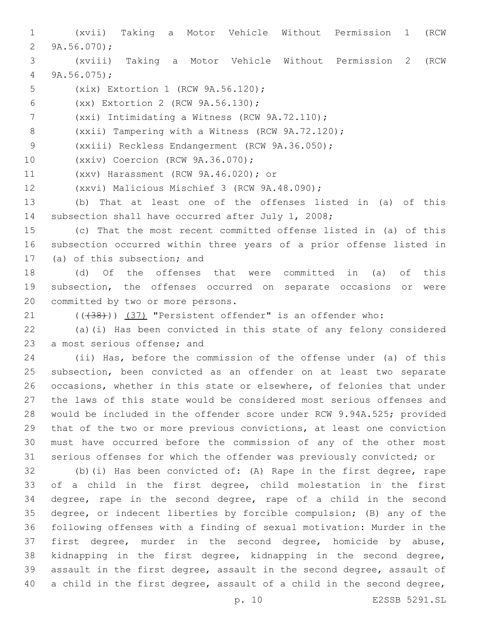(xvii) Taking a Motor Vehicle Without Permission 1 (RCW  $9A.56.070$ ; (xviii) Taking a Motor Vehicle Without Permission 2 (RCW 9A.56.075); 5 (xix) Extortion 1 (RCW 9A.56.120); (xx) Extortion 2 (RCW 9A.56.130);6 7 (xxi) Intimidating a Witness (RCW 9A.72.110); (xxii) Tampering with a Witness (RCW 9A.72.120); 9 (xxiii) Reckless Endangerment (RCW 9A.36.050); 10 (xxiv) Coercion (RCW 9A.36.070); 11 (xxv) Harassment (RCW 9A.46.020); or 12 (xxvi) Malicious Mischief 3 (RCW 9A.48.090); (b) That at least one of the offenses listed in (a) of this subsection shall have occurred after July 1, 2008; (c) That the most recent committed offense listed in (a) of this subsection occurred within three years of a prior offense listed in 17 (a) of this subsection; and (d) Of the offenses that were committed in (a) of this subsection, the offenses occurred on separate occasions or were 20 committed by two or more persons. 21 (((38))) (37) "Persistent offender" is an offender who: (a)(i) Has been convicted in this state of any felony considered 23 a most serious offense; and (ii) Has, before the commission of the offense under (a) of this subsection, been convicted as an offender on at least two separate occasions, whether in this state or elsewhere, of felonies that under the laws of this state would be considered most serious offenses and would be included in the offender score under RCW 9.94A.525; provided that of the two or more previous convictions, at least one conviction must have occurred before the commission of any of the other most serious offenses for which the offender was previously convicted; or (b)(i) Has been convicted of: (A) Rape in the first degree, rape of a child in the first degree, child molestation in the first degree, rape in the second degree, rape of a child in the second degree, or indecent liberties by forcible compulsion; (B) any of the following offenses with a finding of sexual motivation: Murder in the first degree, murder in the second degree, homicide by abuse, kidnapping in the first degree, kidnapping in the second degree, assault in the first degree, assault in the second degree, assault of a child in the first degree, assault of a child in the second degree,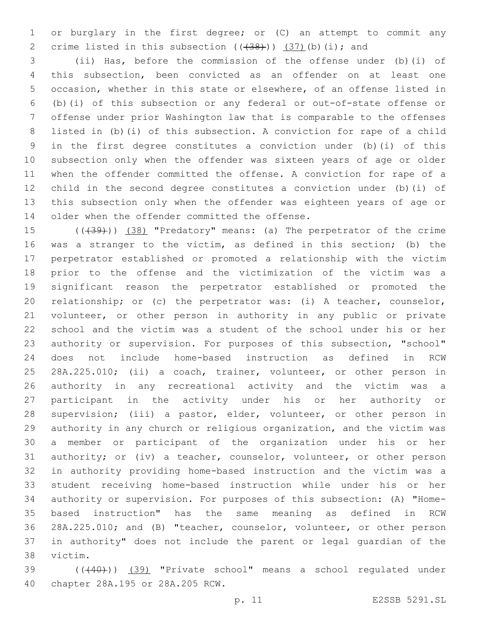or burglary in the first degree; or (C) an attempt to commit any 2 crime listed in this subsection  $((+38))$   $(37)$  (b)(i); and

 (ii) Has, before the commission of the offense under (b)(i) of this subsection, been convicted as an offender on at least one occasion, whether in this state or elsewhere, of an offense listed in (b)(i) of this subsection or any federal or out-of-state offense or offense under prior Washington law that is comparable to the offenses listed in (b)(i) of this subsection. A conviction for rape of a child in the first degree constitutes a conviction under (b)(i) of this subsection only when the offender was sixteen years of age or older when the offender committed the offense. A conviction for rape of a child in the second degree constitutes a conviction under (b)(i) of this subsection only when the offender was eighteen years of age or 14 older when the offender committed the offense.

15 (( $(39)$ )) (38) "Predatory" means: (a) The perpetrator of the crime was a stranger to the victim, as defined in this section; (b) the perpetrator established or promoted a relationship with the victim prior to the offense and the victimization of the victim was a significant reason the perpetrator established or promoted the relationship; or (c) the perpetrator was: (i) A teacher, counselor, volunteer, or other person in authority in any public or private school and the victim was a student of the school under his or her authority or supervision. For purposes of this subsection, "school" does not include home-based instruction as defined in RCW 28A.225.010; (ii) a coach, trainer, volunteer, or other person in authority in any recreational activity and the victim was a participant in the activity under his or her authority or supervision; (iii) a pastor, elder, volunteer, or other person in authority in any church or religious organization, and the victim was a member or participant of the organization under his or her authority; or (iv) a teacher, counselor, volunteer, or other person in authority providing home-based instruction and the victim was a student receiving home-based instruction while under his or her authority or supervision. For purposes of this subsection: (A) "Home- based instruction" has the same meaning as defined in RCW 28A.225.010; and (B) "teacher, counselor, volunteer, or other person in authority" does not include the parent or legal guardian of the 38 victim.

 (((40))) (39) "Private school" means a school regulated under 40 chapter 28A.195 or 28A.205 RCW.

p. 11 E2SSB 5291.SL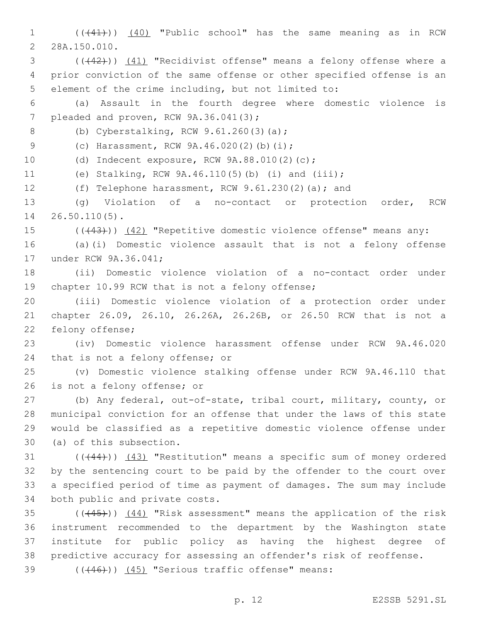1 ((+41))) (40) "Public school" has the same meaning as in RCW 2 28A.150.010.

3 ((+42))) (41) "Recidivist offense" means a felony offense where a 4 prior conviction of the same offense or other specified offense is an 5 element of the crime including, but not limited to:

6 (a) Assault in the fourth degree where domestic violence is 7 pleaded and proven, RCW 9A.36.041(3);

8 (b) Cyberstalking, RCW 9.61.260(3)(a);

9 (c) Harassment, RCW 9A.46.020(2)(b)(i);

10 (d) Indecent exposure, RCW 9A.88.010(2)(c);

11 (e) Stalking, RCW 9A.46.110(5)(b) (i) and (iii);

12 (f) Telephone harassment, RCW 9.61.230(2)(a); and

13 (g) Violation of a no-contact or protection order, RCW 14 26.50.110(5).

15 (( $(43)$ )) (42) "Repetitive domestic violence offense" means any:

16 (a)(i) Domestic violence assault that is not a felony offense 17 under RCW 9A.36.041;

18 (ii) Domestic violence violation of a no-contact order under 19 chapter 10.99 RCW that is not a felony offense;

20 (iii) Domestic violence violation of a protection order under 21 chapter 26.09, 26.10, 26.26A, 26.26B, or 26.50 RCW that is not a 22 felony offense;

23 (iv) Domestic violence harassment offense under RCW 9A.46.020 24 that is not a felony offense; or

25 (v) Domestic violence stalking offense under RCW 9A.46.110 that 26 is not a felony offense; or

 (b) Any federal, out-of-state, tribal court, military, county, or municipal conviction for an offense that under the laws of this state would be classified as a repetitive domestic violence offense under 30 (a) of this subsection.

31 ((+44))) (43) "Restitution" means a specific sum of money ordered 32 by the sentencing court to be paid by the offender to the court over 33 a specified period of time as payment of damages. The sum may include 34 both public and private costs.

35 (((445))) (44) "Risk assessment" means the application of the risk instrument recommended to the department by the Washington state institute for public policy as having the highest degree of predictive accuracy for assessing an offender's risk of reoffense.

39 (((446))) (45) "Serious traffic offense" means: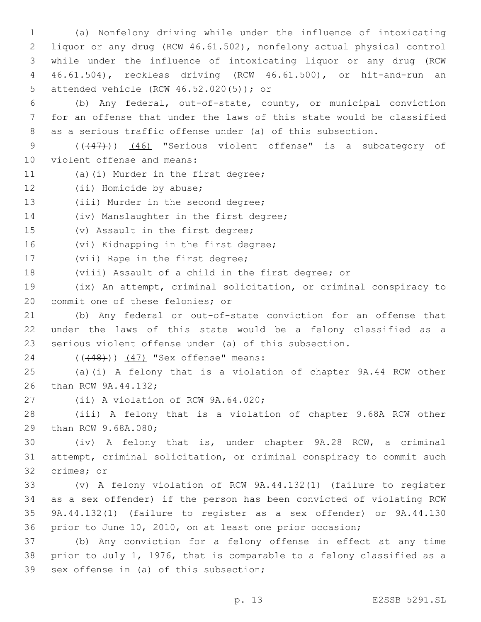(a) Nonfelony driving while under the influence of intoxicating liquor or any drug (RCW 46.61.502), nonfelony actual physical control while under the influence of intoxicating liquor or any drug (RCW 46.61.504), reckless driving (RCW 46.61.500), or hit-and-run an attended vehicle (RCW 46.52.020(5)); or5

6 (b) Any federal, out-of-state, county, or municipal conviction 7 for an offense that under the laws of this state would be classified 8 as a serious traffic offense under (a) of this subsection.

9 (( $(47)$ )) (46) "Serious violent offense" is a subcategory of 10 violent offense and means:

- 11 (a)(i) Murder in the first degree;
- 12 (ii) Homicide by abuse;
- 13 (iii) Murder in the second degree;

14 (iv) Manslaughter in the first degree;

15 (v) Assault in the first degree;

16 (vi) Kidnapping in the first degree;

17 (vii) Rape in the first degree;

18 (viii) Assault of a child in the first degree; or

19 (ix) An attempt, criminal solicitation, or criminal conspiracy to 20 commit one of these felonies; or

21 (b) Any federal or out-of-state conviction for an offense that 22 under the laws of this state would be a felony classified as a 23 serious violent offense under (a) of this subsection.

# 24 (((48))) (47) "Sex offense" means:

25 (a)(i) A felony that is a violation of chapter 9A.44 RCW other 26 than RCW 9A.44.132;

27 (ii) A violation of RCW 9A.64.020;

28 (iii) A felony that is a violation of chapter 9.68A RCW other 29 than RCW 9.68A.080;

30 (iv) A felony that is, under chapter 9A.28 RCW, a criminal 31 attempt, criminal solicitation, or criminal conspiracy to commit such 32 crimes; or

 (v) A felony violation of RCW 9A.44.132(1) (failure to register as a sex offender) if the person has been convicted of violating RCW 9A.44.132(1) (failure to register as a sex offender) or 9A.44.130 prior to June 10, 2010, on at least one prior occasion;

37 (b) Any conviction for a felony offense in effect at any time 38 prior to July 1, 1976, that is comparable to a felony classified as a 39 sex offense in (a) of this subsection;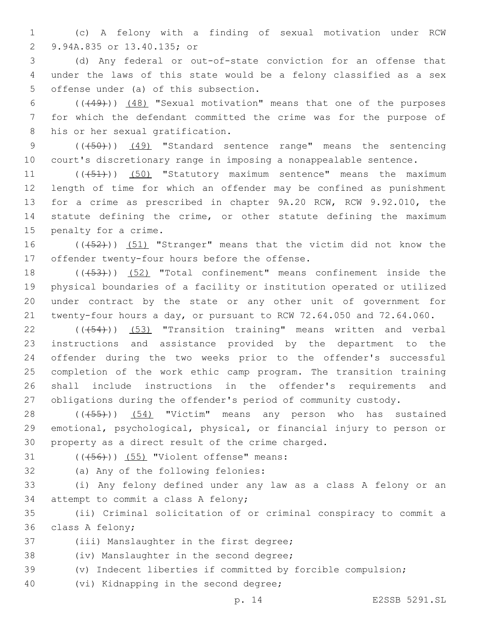1 (c) A felony with a finding of sexual motivation under RCW 9.94A.835 or 13.40.135; or2

3 (d) Any federal or out-of-state conviction for an offense that 4 under the laws of this state would be a felony classified as a sex 5 offense under (a) of this subsection.

6 (((49))) (48) "Sexual motivation" means that one of the purposes 7 for which the defendant committed the crime was for the purpose of 8 his or her sexual gratification.

9 (( $(450)$ ) (49) "Standard sentence range" means the sentencing 10 court's discretionary range in imposing a nonappealable sentence.

11 (((451)) (50) "Statutory maximum sentence" means the maximum 12 length of time for which an offender may be confined as punishment 13 for a crime as prescribed in chapter 9A.20 RCW, RCW 9.92.010, the 14 statute defining the crime, or other statute defining the maximum 15 penalty for a crime.

16 (((452))) (51) "Stranger" means that the victim did not know the 17 offender twenty-four hours before the offense.

18 (( $(453)$ )) (52) "Total confinement" means confinement inside the physical boundaries of a facility or institution operated or utilized under contract by the state or any other unit of government for twenty-four hours a day, or pursuant to RCW 72.64.050 and 72.64.060.

22 (((54))) (53) "Transition training" means written and verbal instructions and assistance provided by the department to the offender during the two weeks prior to the offender's successful completion of the work ethic camp program. The transition training shall include instructions in the offender's requirements and obligations during the offender's period of community custody.

28 (((455))) (54) "Victim" means any person who has sustained 29 emotional, psychological, physical, or financial injury to person or 30 property as a direct result of the crime charged.

 $( (456) )$   $(55)$  "Violent offense" means:

32 (a) Any of the following felonies:

33 (i) Any felony defined under any law as a class A felony or an 34 attempt to commit a class A felony;

35 (ii) Criminal solicitation of or criminal conspiracy to commit a 36 class A felony;

37 (iii) Manslaughter in the first degree;

38 (iv) Manslaughter in the second degree;

39 (v) Indecent liberties if committed by forcible compulsion;

40 (vi) Kidnapping in the second degree;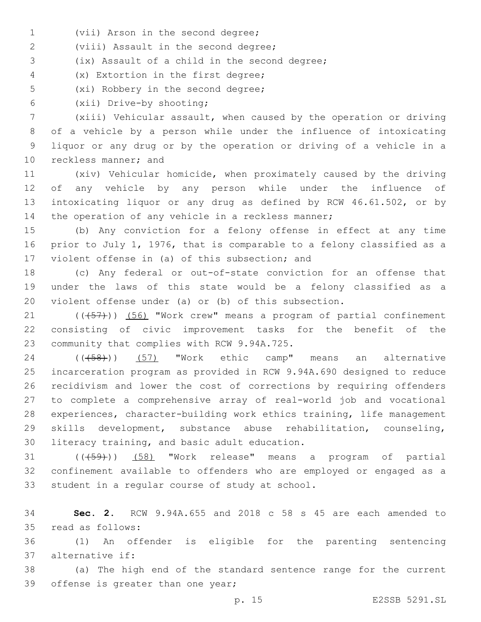1 (vii) Arson in the second degree;

2 (viii) Assault in the second degree;

(ix) Assault of a child in the second degree;3

(x) Extortion in the first degree;4

5 (xi) Robbery in the second degree;

(xii) Drive-by shooting;6

 (xiii) Vehicular assault, when caused by the operation or driving of a vehicle by a person while under the influence of intoxicating liquor or any drug or by the operation or driving of a vehicle in a 10 reckless manner; and

 (xiv) Vehicular homicide, when proximately caused by the driving of any vehicle by any person while under the influence of intoxicating liquor or any drug as defined by RCW 46.61.502, or by 14 the operation of any vehicle in a reckless manner;

15 (b) Any conviction for a felony offense in effect at any time 16 prior to July 1, 1976, that is comparable to a felony classified as a 17 violent offense in (a) of this subsection; and

18 (c) Any federal or out-of-state conviction for an offense that 19 under the laws of this state would be a felony classified as a 20 violent offense under (a) or (b) of this subsection.

 $(1 - 21$  ( $(\overline{57})$ ) (56) "Work crew" means a program of partial confinement 22 consisting of civic improvement tasks for the benefit of the 23 community that complies with RCW 9.94A.725.

24 (( $(458)$ )) (57) "Work ethic camp" means an alternative incarceration program as provided in RCW 9.94A.690 designed to reduce recidivism and lower the cost of corrections by requiring offenders to complete a comprehensive array of real-world job and vocational experiences, character-building work ethics training, life management skills development, substance abuse rehabilitation, counseling, 30 literacy training, and basic adult education.

31 (( $(\overline{59})$ ) (58) "Work release" means a program of partial 32 confinement available to offenders who are employed or engaged as a 33 student in a regular course of study at school.

34 **Sec. 2.** RCW 9.94A.655 and 2018 c 58 s 45 are each amended to read as follows:35

36 (1) An offender is eligible for the parenting sentencing 37 alternative if:

38 (a) The high end of the standard sentence range for the current 39 offense is greater than one year;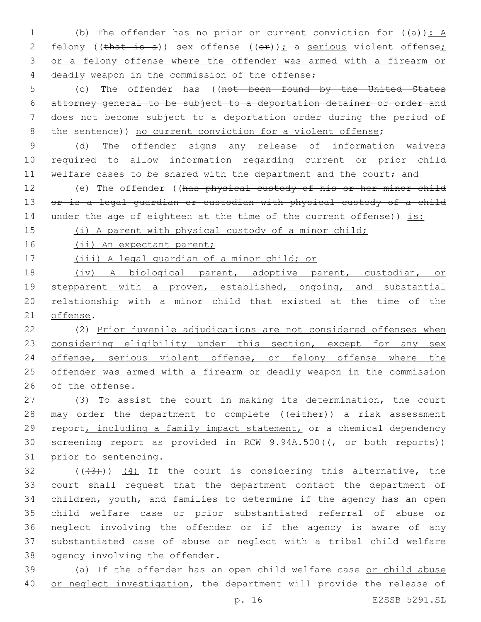1 (b) The offender has no prior or current conviction for  $((a))$ : A 2 felony ((that is a)) sex offense  $((\theta \cdot \hat{r}))$ ; a serious violent offense; 3 or a felony offense where the offender was armed with a firearm or 4 deadly weapon in the commission of the offense;

 (c) The offender has ((not been found by the United States attorney general to be subject to a deportation detainer or order and does not become subject to a deportation order during the period of 8 the sentence)) no current conviction for a violent offense;

9 (d) The offender signs any release of information waivers 10 required to allow information regarding current or prior child 11 welfare cases to be shared with the department and the court; and

12 (e) The offender ((has physical custody of his or her minor child 13 or is a legal guardian or custodian with physical custody of a child 14 under the age of eighteen at the time of the current offense)) is:

15 (i) A parent with physical custody of a minor child;

16 (ii) An expectant parent;

17 (iii) A legal guardian of a minor child; or

18 (iv) A biological parent, adoptive parent, custodian, or 19 stepparent with a proven, established, ongoing, and substantial 20 relationship with a minor child that existed at the time of the 21 offense.

 (2) Prior juvenile adjudications are not considered offenses when 23 considering eligibility under this section, except for any sex offense, serious violent offense, or felony offense where the offender was armed with a firearm or deadly weapon in the commission of the offense.

27 (3) To assist the court in making its determination, the court 28 may order the department to complete ((either)) a risk assessment 29 report, including a family impact statement, or a chemical dependency 30 screening report as provided in RCW 9.94A.500((, or both reports)) 31 prior to sentencing.

 $(1)(3)$  ( $(4)(4)$ ) If the court is considering this alternative, the court shall request that the department contact the department of children, youth, and families to determine if the agency has an open child welfare case or prior substantiated referral of abuse or neglect involving the offender or if the agency is aware of any substantiated case of abuse or neglect with a tribal child welfare 38 agency involving the offender.

39 (a) If the offender has an open child welfare case or child abuse 40 or neglect investigation, the department will provide the release of

p. 16 E2SSB 5291.SL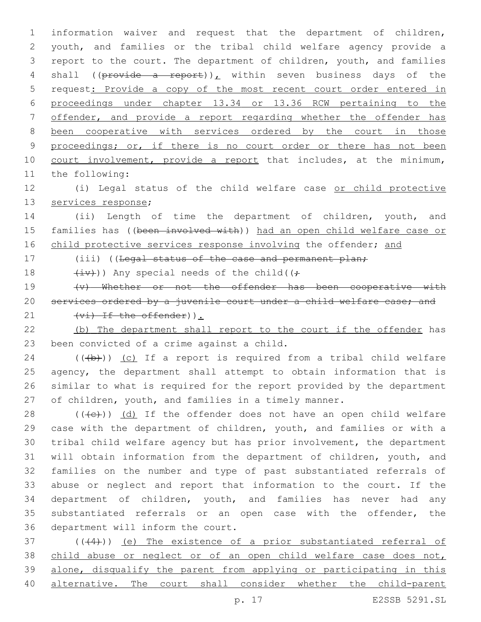information waiver and request that the department of children, youth, and families or the tribal child welfare agency provide a report to the court. The department of children, youth, and families 4 shall (( $\beta$ rovide a report)), within seven business days of the request: Provide a copy of the most recent court order entered in proceedings under chapter 13.34 or 13.36 RCW pertaining to the offender, and provide a report regarding whether the offender has been cooperative with services ordered by the court in those 9 proceedings; or, if there is no court order or there has not been 10 court involvement, provide a report that includes, at the minimum, 11 the following:

12 (i) Legal status of the child welfare case or child protective 13 services response;

14 (ii) Length of time the department of children, youth, and 15 families has ((been involved with)) had an open child welfare case or 16 child protective services response involving the offender; and

17 (iii) ((Legal status of the case and permanent plan;

18  $(i\vec{v})$ ) Any special needs of the child( $(i\vec{r})$ 

19 (v) Whether or not the offender has been cooperative with 20 services ordered by a juvenile court under a child welfare case; and 21  $(v_i)$  If the offender)  $\cdot$ 

22 (b) The department shall report to the court if the offender has 23 been convicted of a crime against a child.

 (( $\left(\frac{1}{2}\right)$ ) (c) If a report is required from a tribal child welfare agency, the department shall attempt to obtain information that is similar to what is required for the report provided by the department of children, youth, and families in a timely manner.

 $((+e))$   $(d)$  If the offender does not have an open child welfare case with the department of children, youth, and families or with a tribal child welfare agency but has prior involvement, the department will obtain information from the department of children, youth, and families on the number and type of past substantiated referrals of abuse or neglect and report that information to the court. If the department of children, youth, and families has never had any substantiated referrals or an open case with the offender, the 36 department will inform the court.

37 (((44))) (e) The existence of a prior substantiated referral of 38 child abuse or neglect or of an open child welfare case does not, 39 alone, disqualify the parent from applying or participating in this 40 alternative. The court shall consider whether the child-parent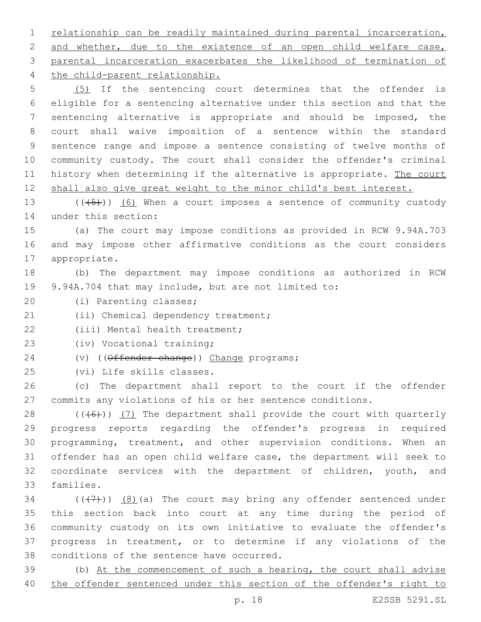1 relationship can be readily maintained during parental incarceration, 2 and whether, due to the existence of an open child welfare case, 3 parental incarceration exacerbates the likelihood of termination of 4 the child-parent relationship.

 (5) If the sentencing court determines that the offender is eligible for a sentencing alternative under this section and that the sentencing alternative is appropriate and should be imposed, the court shall waive imposition of a sentence within the standard sentence range and impose a sentence consisting of twelve months of community custody. The court shall consider the offender's criminal 11 history when determining if the alternative is appropriate. The court shall also give great weight to the minor child's best interest.

13  $((+5+))$  (6) When a court imposes a sentence of community custody 14 under this section:

15 (a) The court may impose conditions as provided in RCW 9.94A.703 16 and may impose other affirmative conditions as the court considers 17 appropriate.

18 (b) The department may impose conditions as authorized in RCW 19 9.94A.704 that may include, but are not limited to:

20 (i) Parenting classes;

21 (ii) Chemical dependency treatment;

22 (iii) Mental health treatment:

23 (iv) Vocational training;

24 (v) ((Offender change)) Change programs;

25 (vi) Life skills classes.

26 (c) The department shall report to the court if the offender 27 commits any violations of his or her sentence conditions.

 $((+6))$   $(7)$  The department shall provide the court with quarterly progress reports regarding the offender's progress in required programming, treatment, and other supervision conditions. When an offender has an open child welfare case, the department will seek to 32 coordinate services with the department of children, youth, and 33 families.

 $(1, 7)$  (( $(1, 7)$ )) (8)(a) The court may bring any offender sentenced under 35 this section back into court at any time during the period of 36 community custody on its own initiative to evaluate the offender's 37 progress in treatment, or to determine if any violations of the 38 conditions of the sentence have occurred.

39 (b) At the commencement of such a hearing, the court shall advise 40 the offender sentenced under this section of the offender's right to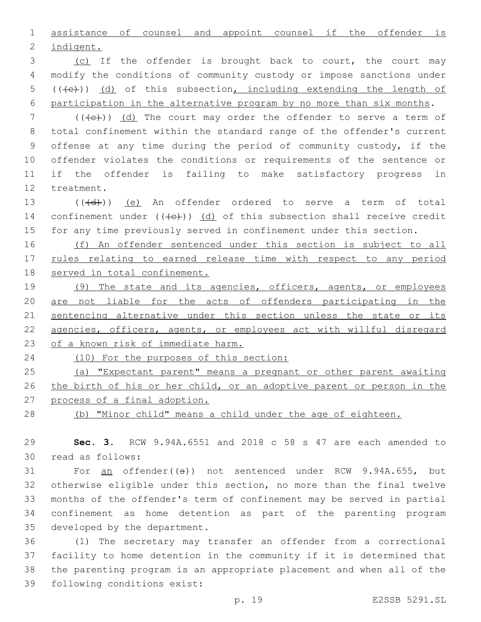assistance of counsel and appoint counsel if the offender is 2 indigent.

3 (c) If the offender is brought back to court, the court may modify the conditions of community custody or impose sanctions under (( $\left(\overline{+e}\right)$ ) (d) of this subsection, including extending the length of participation in the alternative program by no more than six months.

7 (((+e))) (d) The court may order the offender to serve a term of total confinement within the standard range of the offender's current offense at any time during the period of community custody, if the offender violates the conditions or requirements of the sentence or if the offender is failing to make satisfactory progress in 12 treatment.

13 (((d))) (e) An offender ordered to serve a term of total 14 confinement under  $((+e))$  (d) of this subsection shall receive credit for any time previously served in confinement under this section.

 (f) An offender sentenced under this section is subject to all rules relating to earned release time with respect to any period served in total confinement.

 (9) The state and its agencies, officers, agents, or employees are not liable for the acts of offenders participating in the 21 sentencing alternative under this section unless the state or its agencies, officers, agents, or employees act with willful disregard of a known risk of immediate harm.

(10) For the purposes of this section:

 (a) "Expectant parent" means a pregnant or other parent awaiting 26 the birth of his or her child, or an adoptive parent or person in the process of a final adoption.

(b) "Minor child" means a child under the age of eighteen.

 **Sec. 3.** RCW 9.94A.6551 and 2018 c 58 s 47 are each amended to read as follows:30

31 For an offender((s)) not sentenced under RCW 9.94A.655, but otherwise eligible under this section, no more than the final twelve months of the offender's term of confinement may be served in partial confinement as home detention as part of the parenting program 35 developed by the department.

 (1) The secretary may transfer an offender from a correctional facility to home detention in the community if it is determined that the parenting program is an appropriate placement and when all of the 39 following conditions exist: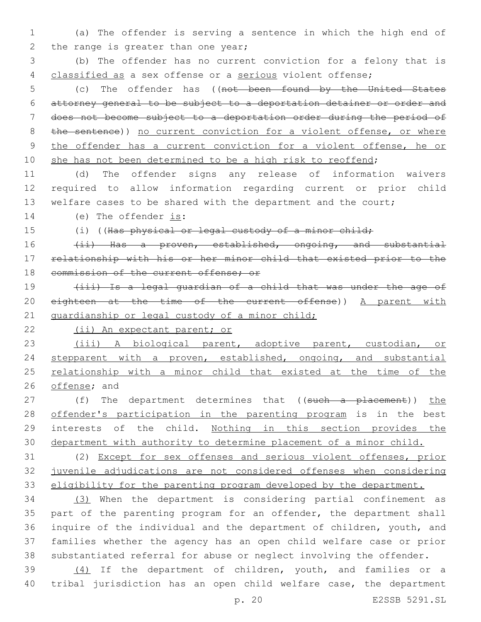1 (a) The offender is serving a sentence in which the high end of 2 the range is greater than one year;

3 (b) The offender has no current conviction for a felony that is 4 classified as a sex offense or a serious violent offense;

 (c) The offender has ((not been found by the United States attorney general to be subject to a deportation detainer or order and does not become subject to a deportation order during the period of 8 the sentence)) no current conviction for a violent offense, or where the offender has a current conviction for a violent offense, he or 10 she has not been determined to be a high risk to reoffend;

11 (d) The offender signs any release of information waivers 12 required to allow information regarding current or prior child 13 welfare cases to be shared with the department and the court;

14 (e) The offender is:

15 (i) ((Has physical or legal custody of a minor child;

16 (ii) Has a proven, established, ongoing, and substantial 17 relationship with his or her minor child that existed prior to the 18 commission of the current offense; or

19 (iii) Is a legal guardian of a child that was under the age of 20 eighteen at the time of the current offense)) A parent with 21 guardianship or legal custody of a minor child;

22 (ii) An expectant parent; or

23 (iii) A biological parent, adoptive parent, custodian, or 24 stepparent with a proven, established, ongoing, and substantial 25 relationship with a minor child that existed at the time of the 26 offense; and

27 (f) The department determines that ((such a placement)) the 28 offender's participation in the parenting program is in the best 29 interests of the child. Nothing in this section provides the 30 department with authority to determine placement of a minor child.

31 (2) Except for sex offenses and serious violent offenses, prior 32 juvenile adjudications are not considered offenses when considering 33 eligibility for the parenting program developed by the department.

 (3) When the department is considering partial confinement as part of the parenting program for an offender, the department shall inquire of the individual and the department of children, youth, and families whether the agency has an open child welfare case or prior substantiated referral for abuse or neglect involving the offender.

39 (4) If the department of children, youth, and families or a 40 tribal jurisdiction has an open child welfare case, the department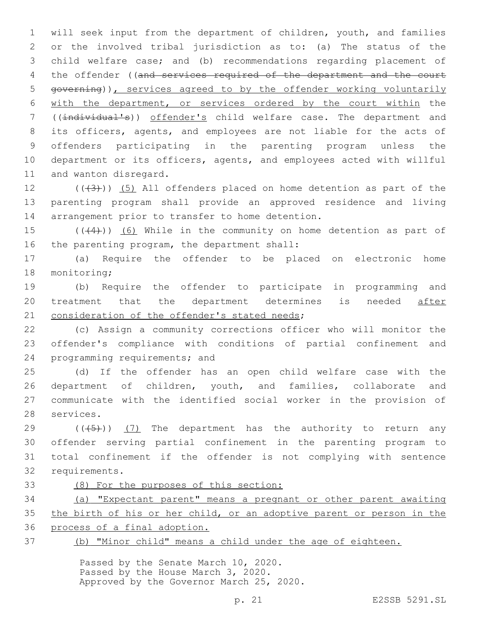will seek input from the department of children, youth, and families or the involved tribal jurisdiction as to: (a) The status of the child welfare case; and (b) recommendations regarding placement of 4 the offender ((and services required of the department and the court governing)), services agreed to by the offender working voluntarily with the department, or services ordered by the court within the ((individual's)) offender's child welfare case. The department and its officers, agents, and employees are not liable for the acts of offenders participating in the parenting program unless the department or its officers, agents, and employees acted with willful 11 and wanton disregard.

12  $((+3+))$   $(5)$  All offenders placed on home detention as part of the parenting program shall provide an approved residence and living 14 arrangement prior to transfer to home detention.

15  $((+4))$   $(6)$  While in the community on home detention as part of 16 the parenting program, the department shall:

 (a) Require the offender to be placed on electronic home 18 monitoring;

 (b) Require the offender to participate in programming and treatment that the department determines is needed after 21 consideration of the offender's stated needs;

 (c) Assign a community corrections officer who will monitor the offender's compliance with conditions of partial confinement and 24 programming requirements; and

 (d) If the offender has an open child welfare case with the department of children, youth, and families, collaborate and communicate with the identified social worker in the provision of 28 services.

 $((\overline{5})$  ( $(7)$  The department has the authority to return any offender serving partial confinement in the parenting program to total confinement if the offender is not complying with sentence 32 requirements.

- 
- (8) For the purposes of this section:

 (a) "Expectant parent" means a pregnant or other parent awaiting the birth of his or her child, or an adoptive parent or person in the process of a final adoption.

(b) "Minor child" means a child under the age of eighteen.

Passed by the Senate March 10, 2020. Passed by the House March 3, 2020. Approved by the Governor March 25, 2020.